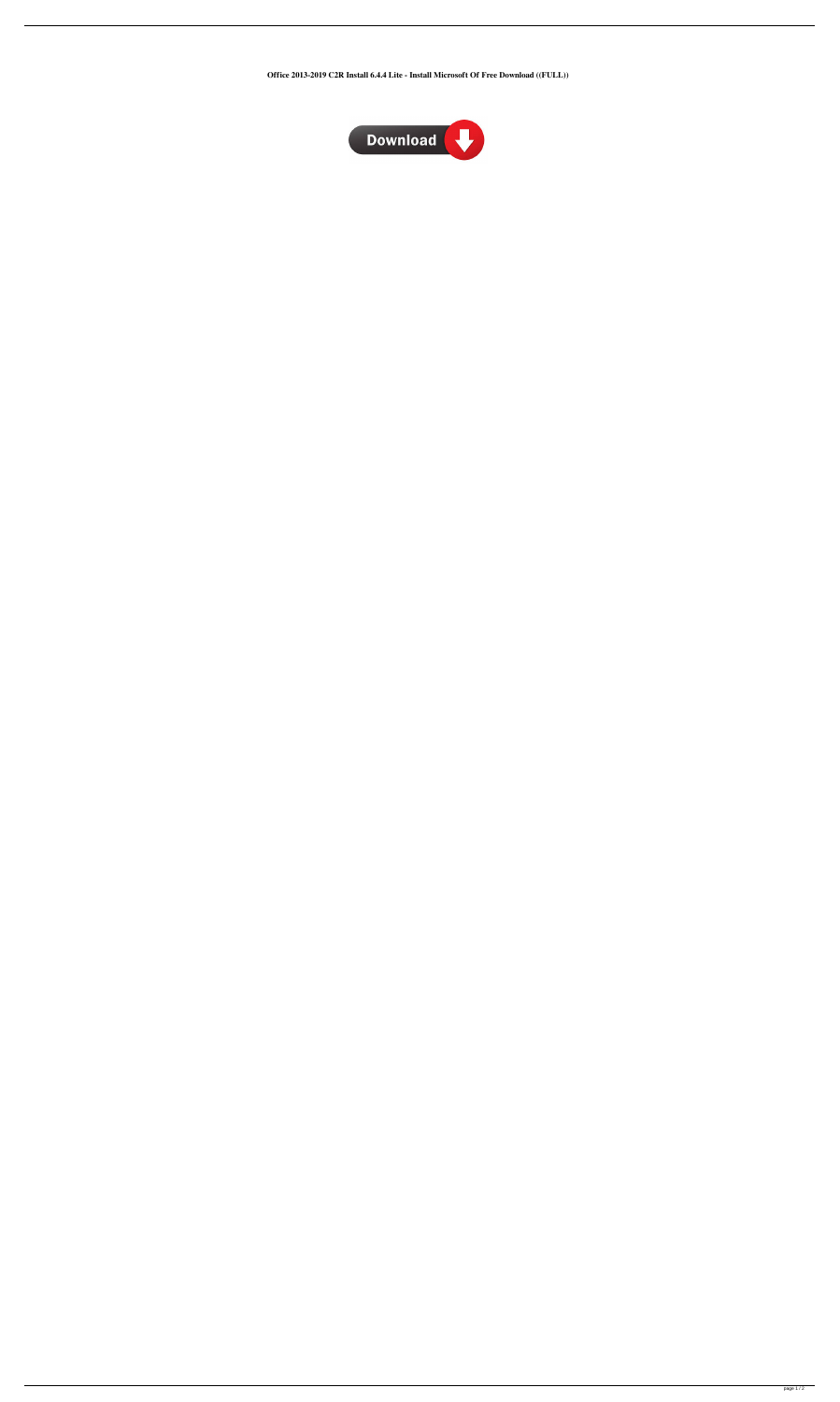**Office 2013-2019 C2R Install 6.4.4 Lite - Install Microsoft Of Free Download ((FULL))**